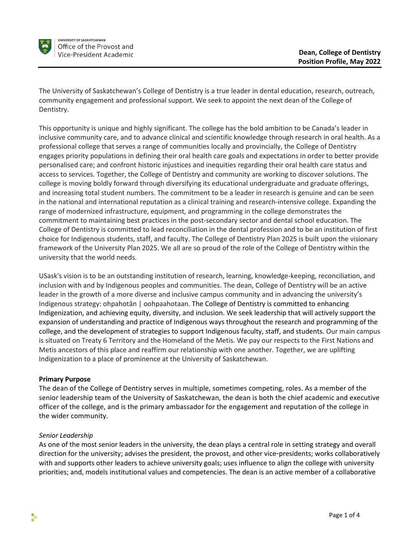

The University of Saskatchewan's College of Dentistry is a true leader in dental education, research, outreach, community engagement and professional support. We seek to appoint the next dean of the College of Dentistry.

This opportunity is unique and highly significant. The college has the bold ambition to be Canada's leader in inclusive community care, and to advance clinical and scientific knowledge through research in oral health. As a professional college that serves a range of communities locally and provincially, the College of Dentistry engages priority populations in defining their oral health care goals and expectations in order to better provide personalised care; and confront historic injustices and inequities regarding their oral health care status and access to services. Together, the College of Dentistry and community are working to discover solutions. The college is moving boldly forward through diversifying its educational undergraduate and graduate offerings, and increasing total student numbers. The commitment to be a leader in research is genuine and can be seen in the national and international reputation as a clinical training and research-intensive college. Expanding the range of modernized infrastructure, equipment, and programming in the college demonstrates the commitment to maintaining best practices in the post-secondary sector and dental school education. The College of Dentistry is committed to lead reconciliation in the dental profession and to be an institution of first choice for Indigenous students, staff, and faculty. The College of Dentistry Plan 2025 is built upon the visionary framework of the University Plan 2025. We all are so proud of the role of the College of Dentistry within the university that the world needs.

USask's vision is to be an outstanding institution of research, learning, knowledge-keeping, reconciliation, and inclusion with and by Indigenous peoples and communities. The dean, College of Dentistry will be an active leader in the growth of a more diverse and inclusive campus community and in advancing the university's Indigenous strategy: ohpahotân | oohpaahotaan. The College of Dentistry is committed to enhancing Indigenization, and achieving equity, diversity, and inclusion. We seek leadership that will actively support the expansion of understanding and practice of Indigenous ways throughout the research and programming of the college, and the development of strategies to support Indigenous faculty, staff, and students. Our main campus is situated on Treaty 6 Territory and the Homeland of the Metis. We pay our respects to the First Nations and Metis ancestors of this place and reaffirm our relationship with one another. Together, we are uplifting Indigenization to a place of prominence at the University of Saskatchewan.

## **Primary Purpose**

The dean of the College of Dentistry serves in multiple, sometimes competing, roles. As a member of the senior leadership team of the University of Saskatchewan, the dean is both the chief academic and executive officer of the college, and is the primary ambassador for the engagement and reputation of the college in the wider community.

#### *Senior Leadership*

As one of the most senior leaders in the university, the dean plays a central role in setting strategy and overall direction for the university; advises the president, the provost, and other vice-presidents; works collaboratively with and supports other leaders to achieve university goals; uses influence to align the college with university priorities; and, models institutional values and competencies. The dean is an active member of a collaborative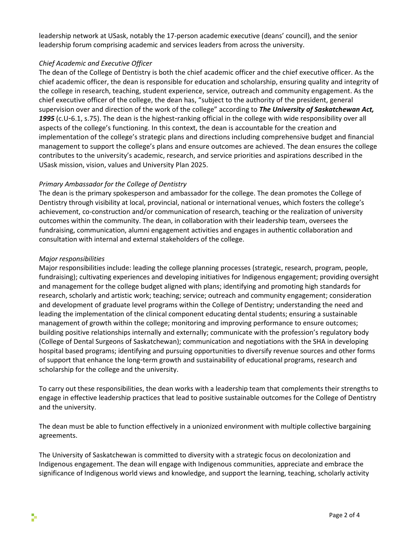leadership network at USask, notably the 17-person academic executive (deans' council), and the senior leadership forum comprising academic and services leaders from across the university.

## *Chief Academic and Executive Officer*

The dean of the College of Dentistry is both the chief academic officer and the chief executive officer. As the chief academic officer, the dean is responsible for education and scholarship, ensuring quality and integrity of the college in research, teaching, student experience, service, outreach and community engagement. As the chief executive officer of the college, the dean has, "subject to the authority of the president, general supervision over and direction of the work of the college" according to *The University of Saskatchewan Act, 1995* (c.U-6.1, s.75). The dean is the highest-ranking official in the college with wide responsibility over all aspects of the college's functioning. In this context, the dean is accountable for the creation and implementation of the college's strategic plans and directions including comprehensive budget and financial management to support the college's plans and ensure outcomes are achieved. The dean ensures the college contributes to the university's academic, research, and service priorities and aspirations described in the USask mission, vision, values and University Plan 2025.

# *Primary Ambassador for the College of Dentistry*

The dean is the primary spokesperson and ambassador for the college. The dean promotes the College of Dentistry through visibility at local, provincial, national or international venues, which fosters the college's achievement, co-construction and/or communication of research, teaching or the realization of university outcomes within the community. The dean, in collaboration with their leadership team, oversees the fundraising, communication, alumni engagement activities and engages in authentic collaboration and consultation with internal and external stakeholders of the college.

## *Major responsibilities*

Major responsibilities include: leading the college planning processes (strategic, research, program, people, fundraising); cultivating experiences and developing initiatives for Indigenous engagement; providing oversight and management for the college budget aligned with plans; identifying and promoting high standards for research, scholarly and artistic work; teaching; service; outreach and community engagement; consideration and development of graduate level programs within the College of Dentistry; understanding the need and leading the implementation of the clinical component educating dental students; ensuring a sustainable management of growth within the college; monitoring and improving performance to ensure outcomes; building positive relationships internally and externally; communicate with the profession's regulatory body (College of Dental Surgeons of Saskatchewan); communication and negotiations with the SHA in developing hospital based programs; identifying and pursuing opportunities to diversify revenue sources and other forms of support that enhance the long-term growth and sustainability of educational programs, research and scholarship for the college and the university.

To carry out these responsibilities, the dean works with a leadership team that complements their strengths to engage in effective leadership practices that lead to positive sustainable outcomes for the College of Dentistry and the university.

The dean must be able to function effectively in a unionized environment with multiple collective bargaining agreements.

The University of Saskatchewan is committed to diversity with a strategic focus on decolonization and Indigenous engagement. The dean will engage with Indigenous communities, appreciate and embrace the significance of Indigenous world views and knowledge, and support the learning, teaching, scholarly activity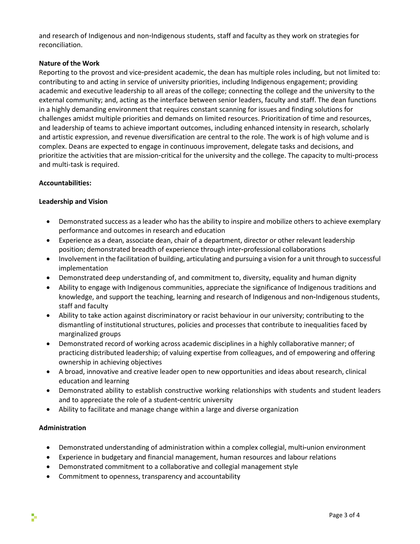and research of Indigenous and non-Indigenous students, staff and faculty as they work on strategies for reconciliation.

## **Nature of the Work**

Reporting to the provost and vice-president academic, the dean has multiple roles including, but not limited to: contributing to and acting in service of university priorities, including Indigenous engagement; providing academic and executive leadership to all areas of the college; connecting the college and the university to the external community; and, acting as the interface between senior leaders, faculty and staff. The dean functions in a highly demanding environment that requires constant scanning for issues and finding solutions for challenges amidst multiple priorities and demands on limited resources. Prioritization of time and resources, and leadership of teams to achieve important outcomes, including enhanced intensity in research, scholarly and artistic expression, and revenue diversification are central to the role. The work is of high volume and is complex. Deans are expected to engage in continuous improvement, delegate tasks and decisions, and prioritize the activities that are mission-critical for the university and the college. The capacity to multi-process and multi-task is required.

## **Accountabilities:**

## **Leadership and Vision**

- Demonstrated success as a leader who has the ability to inspire and mobilize others to achieve exemplary performance and outcomes in research and education
- Experience as a dean, associate dean, chair of a department, director or other relevant leadership position; demonstrated breadth of experience through inter-professional collaborations
- Involvement in the facilitation of building, articulating and pursuing a vision for a unit through to successful implementation
- Demonstrated deep understanding of, and commitment to, diversity, equality and human dignity
- Ability to engage with Indigenous communities, appreciate the significance of Indigenous traditions and knowledge, and support the teaching, learning and research of Indigenous and non-Indigenous students, staff and faculty
- Ability to take action against discriminatory or racist behaviour in our university; contributing to the dismantling of institutional structures, policies and processes that contribute to inequalities faced by marginalized groups
- Demonstrated record of working across academic disciplines in a highly collaborative manner; of practicing distributed leadership; of valuing expertise from colleagues, and of empowering and offering ownership in achieving objectives
- A broad, innovative and creative leader open to new opportunities and ideas about research, clinical education and learning
- Demonstrated ability to establish constructive working relationships with students and student leaders and to appreciate the role of a student-centric university
- Ability to facilitate and manage change within a large and diverse organization

## **Administration**

- Demonstrated understanding of administration within a complex collegial, multi-union environment
- Experience in budgetary and financial management, human resources and labour relations
- Demonstrated commitment to a collaborative and collegial management style
- Commitment to openness, transparency and accountability